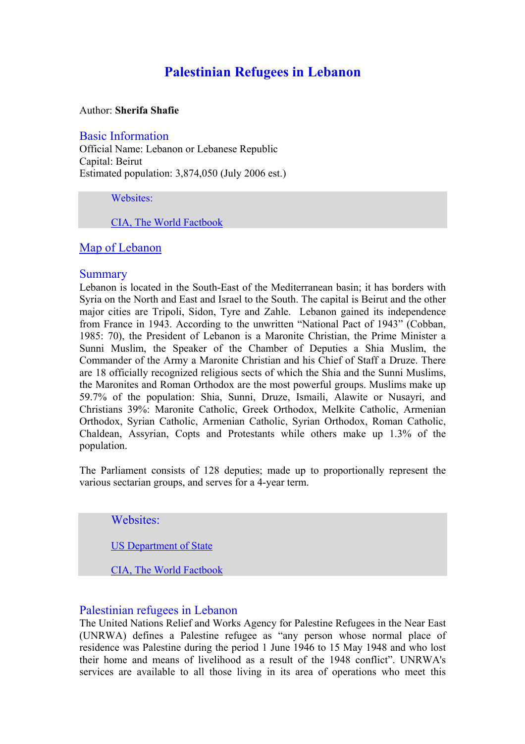# **Palestinian Refugees in Lebanon**

#### Author: **Sherifa Shafie**

## Basic Information

Official Name: Lebanon or Lebanese Republic Capital: Beirut Estimated population: 3,874,050 (July 2006 est.)

#### Websites:

CIA, The World Factbook

## Map of Lebanon

#### **Summary**

Lebanon is located in the South-East of the Mediterranean basin; it has borders with Syria on the North and East and Israel to the South. The capital is Beirut and the other major cities are Tripoli, Sidon, Tyre and Zahle. Lebanon gained its independence from France in 1943. According to the unwritten "National Pact of 1943" (Cobban, 1985: 70), the President of Lebanon is a Maronite Christian, the Prime Minister a Sunni Muslim, the Speaker of the Chamber of Deputies a Shia Muslim, the Commander of the Army a Maronite Christian and his Chief of Staff a Druze. There are 18 officially recognized religious sects of which the Shia and the Sunni Muslims, the Maronites and Roman Orthodox are the most powerful groups. Muslims make up 59.7% of the population: Shia, Sunni, Druze, Ismaili, Alawite or Nusayri, and Christians 39%: Maronite Catholic, Greek Orthodox, Melkite Catholic, Armenian Orthodox, Syrian Catholic, Armenian Catholic, Syrian Orthodox, Roman Catholic, Chaldean, Assyrian, Copts and Protestants while others make up 1.3% of the population.

The Parliament consists of 128 deputies; made up to proportionally represent the various sectarian groups, and serves for a 4-year term.

Websites:

US Department of State

CIA, The World Factbook

# Palestinian refugees in Lebanon

The United Nations Relief and Works Agency for Palestine Refugees in the Near East (UNRWA) defines a Palestine refugee as "any person whose normal place of residence was Palestine during the period 1 June 1946 to 15 May 1948 and who lost their home and means of livelihood as a result of the 1948 conflict". UNRWA's services are available to all those living in its area of operations who meet this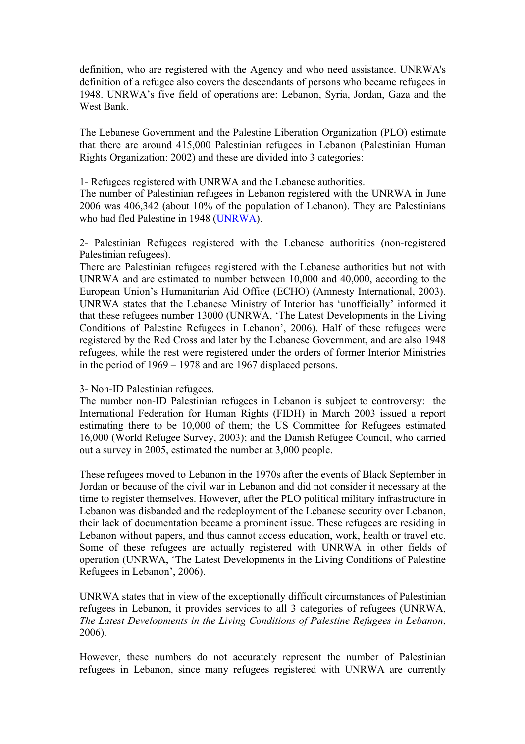definition, who are registered with the Agency and who need assistance. UNRWA's definition of a refugee also covers the descendants of persons who became refugees in 1948. UNRWA's five field of operations are: Lebanon, Syria, Jordan, Gaza and the West Bank.

The Lebanese Government and the Palestine Liberation Organization (PLO) estimate that there are around 415,000 Palestinian refugees in Lebanon (Palestinian Human Rights Organization: 2002) and these are divided into 3 categories:

1- Refugees registered with UNRWA and the Lebanese authorities.

The number of Palestinian refugees in Lebanon registered with the UNRWA in June 2006 was 406,342 (about 10% of the population of Lebanon). They are Palestinians who had fled Palestine in 1948 (UNRWA).

2- Palestinian Refugees registered with the Lebanese authorities (non-registered Palestinian refugees).

There are Palestinian refugees registered with the Lebanese authorities but not with UNRWA and are estimated to number between 10,000 and 40,000, according to the European Union's Humanitarian Aid Office (ECHO) (Amnesty International, 2003). UNRWA states that the Lebanese Ministry of Interior has 'unofficially' informed it that these refugees number 13000 (UNRWA, 'The Latest Developments in the Living Conditions of Palestine Refugees in Lebanon', 2006). Half of these refugees were registered by the Red Cross and later by the Lebanese Government, and are also 1948 refugees, while the rest were registered under the orders of former Interior Ministries in the period of 1969 – 1978 and are 1967 displaced persons.

#### 3- Non-ID Palestinian refugees.

The number non-ID Palestinian refugees in Lebanon is subject to controversy: the International Federation for Human Rights (FIDH) in March 2003 issued a report estimating there to be 10,000 of them; the US Committee for Refugees estimated 16,000 (World Refugee Survey, 2003); and the Danish Refugee Council, who carried out a survey in 2005, estimated the number at 3,000 people.

These refugees moved to Lebanon in the 1970s after the events of Black September in Jordan or because of the civil war in Lebanon and did not consider it necessary at the time to register themselves. However, after the PLO political military infrastructure in Lebanon was disbanded and the redeployment of the Lebanese security over Lebanon, their lack of documentation became a prominent issue. These refugees are residing in Lebanon without papers, and thus cannot access education, work, health or travel etc. Some of these refugees are actually registered with UNRWA in other fields of operation (UNRWA, 'The Latest Developments in the Living Conditions of Palestine Refugees in Lebanon', 2006).

UNRWA states that in view of the exceptionally difficult circumstances of Palestinian refugees in Lebanon, it provides services to all 3 categories of refugees (UNRWA, *The Latest Developments in the Living Conditions of Palestine Refugees in Lebanon*, 2006).

However, these numbers do not accurately represent the number of Palestinian refugees in Lebanon, since many refugees registered with UNRWA are currently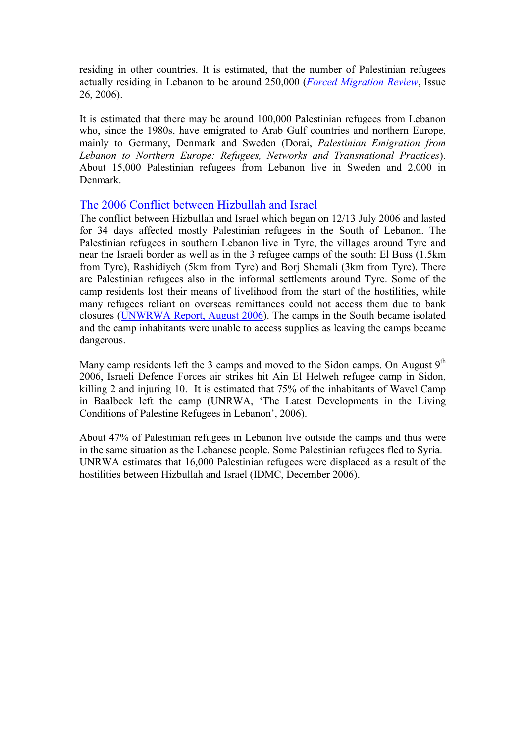residing in other countries. It is estimated, that the number of Palestinian refugees actually residing in Lebanon to be around 250,000 (*Forced Migration Review*, Issue 26, 2006).

It is estimated that there may be around 100,000 Palestinian refugees from Lebanon who, since the 1980s, have emigrated to Arab Gulf countries and northern Europe, mainly to Germany, Denmark and Sweden (Dorai, *Palestinian Emigration from Lebanon to Northern Europe: Refugees, Networks and Transnational Practices*). About 15,000 Palestinian refugees from Lebanon live in Sweden and 2,000 in Denmark.

## The 2006 Conflict between Hizbullah and Israel

The conflict between Hizbullah and Israel which began on 12/13 July 2006 and lasted for 34 days affected mostly Palestinian refugees in the South of Lebanon. The Palestinian refugees in southern Lebanon live in Tyre, the villages around Tyre and near the Israeli border as well as in the 3 refugee camps of the south: El Buss (1.5km from Tyre), Rashidiyeh (5km from Tyre) and Borj Shemali (3km from Tyre). There are Palestinian refugees also in the informal settlements around Tyre. Some of the camp residents lost their means of livelihood from the start of the hostilities, while many refugees reliant on overseas remittances could not access them due to bank closures (UNWRWA Report, August 2006). The camps in the South became isolated and the camp inhabitants were unable to access supplies as leaving the camps became dangerous.

Many camp residents left the 3 camps and moved to the Sidon camps. On August  $9<sup>th</sup>$ 2006, Israeli Defence Forces air strikes hit Ain El Helweh refugee camp in Sidon, killing 2 and injuring 10. It is estimated that 75% of the inhabitants of Wavel Camp in Baalbeck left the camp (UNRWA, 'The Latest Developments in the Living Conditions of Palestine Refugees in Lebanon', 2006).

About 47% of Palestinian refugees in Lebanon live outside the camps and thus were in the same situation as the Lebanese people. Some Palestinian refugees fled to Syria. UNRWA estimates that 16,000 Palestinian refugees were displaced as a result of the hostilities between Hizbullah and Israel (IDMC, December 2006).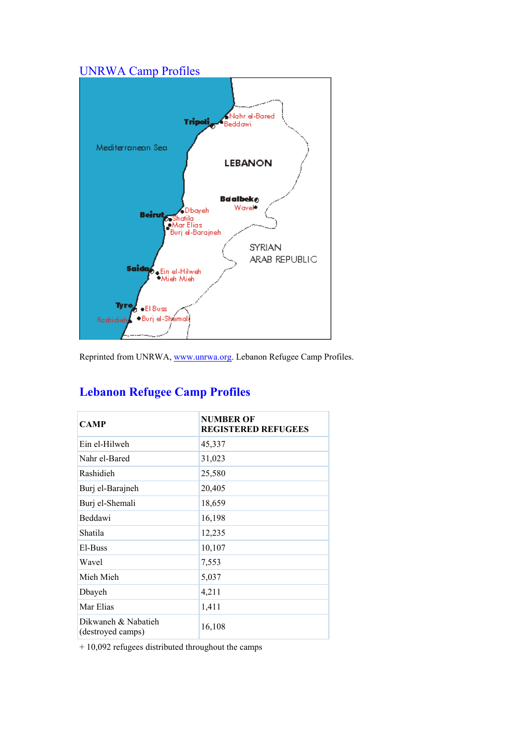# UNRWA Camp Profiles



Reprinted from UNRWA, www.unrwa.org. Lebanon Refugee Camp Profiles.

| <b>CAMP</b>                              | <b>NUMBER OF</b><br><b>REGISTERED REFUGEES</b> |
|------------------------------------------|------------------------------------------------|
| Ein el-Hilweh                            | 45,337                                         |
| Nahr el-Bared                            | 31,023                                         |
| Rashidieh                                | 25,580                                         |
| Burj el-Barajneh                         | 20,405                                         |
| Burj el-Shemali                          | 18,659                                         |
| Beddawi                                  | 16,198                                         |
| Shatila                                  | 12,235                                         |
| El-Buss                                  | 10,107                                         |
| Wavel                                    | 7,553                                          |
| Mieh Mieh                                | 5,037                                          |
| Dbayeh                                   | 4,211                                          |
| Mar Elias                                | 1,411                                          |
| Dikwaneh & Nabatieh<br>(destroyed camps) | 16,108                                         |

# **Lebanon Refugee Camp Profiles**

+ 10,092 refugees distributed throughout the camps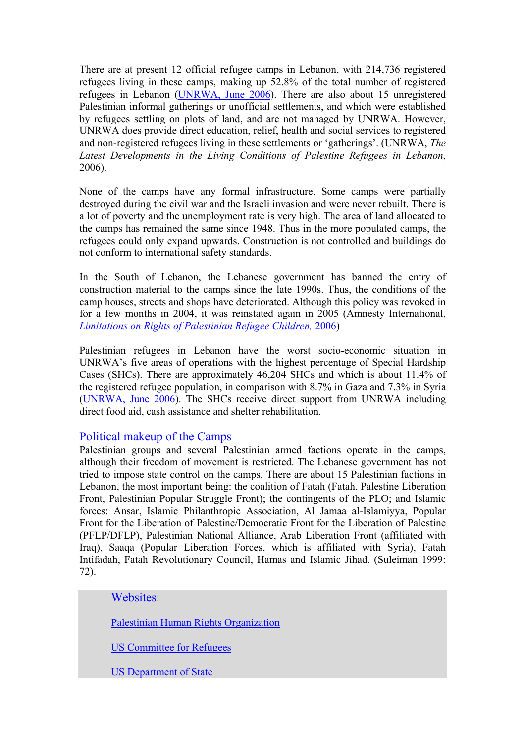There are at present 12 official refugee camps in Lebanon, with 214,736 registered refugees living in these camps, making up 52.8% of the total number of registered refugees in Lebanon (UNRWA, June 2006). There are also about 15 unregistered Palestinian informal gatherings or unofficial settlements, and which were established by refugees settling on plots of land, and are not managed by UNRWA. However, UNRWA does provide direct education, relief, health and social services to registered and non-registered refugees living in these settlements or 'gatherings'. (UNRWA, *The Latest Developments in the Living Conditions of Palestine Refugees in Lebanon*, 2006).

None of the camps have any formal infrastructure. Some camps were partially destroyed during the civil war and the Israeli invasion and were never rebuilt. There is a lot of poverty and the unemployment rate is very high. The area of land allocated to the camps has remained the same since 1948. Thus in the more populated camps, the refugees could only expand upwards. Construction is not controlled and buildings do not conform to international safety standards.

In the South of Lebanon, the Lebanese government has banned the entry of construction material to the camps since the late 1990s. Thus, the conditions of the camp houses, streets and shops have deteriorated. Although this policy was revoked in for a few months in 2004, it was reinstated again in 2005 (Amnesty International, *Limitations on Rights of Palestinian Refugee Children,* 2006)

Palestinian refugees in Lebanon have the worst socio-economic situation in UNRWA's five areas of operations with the highest percentage of Special Hardship Cases (SHCs). There are approximately 46,204 SHCs and which is about 11.4% of the registered refugee population, in comparison with 8.7% in Gaza and 7.3% in Syria (UNRWA, June 2006). The SHCs receive direct support from UNRWA including direct food aid, cash assistance and shelter rehabilitation.

## Political makeup of the Camps

Palestinian groups and several Palestinian armed factions operate in the camps, although their freedom of movement is restricted. The Lebanese government has not tried to impose state control on the camps. There are about 15 Palestinian factions in Lebanon, the most important being: the coalition of Fatah (Fatah, Palestine Liberation Front, Palestinian Popular Struggle Front); the contingents of the PLO; and Islamic forces: Ansar, Islamic Philanthropic Association, Al Jamaa al-Islamiyya, Popular Front for the Liberation of Palestine/Democratic Front for the Liberation of Palestine (PFLP/DFLP), Palestinian National Alliance, Arab Liberation Front (affiliated with Iraq), Saaqa (Popular Liberation Forces, which is affiliated with Syria), Fatah Intifadah, Fatah Revolutionary Council, Hamas and Islamic Jihad. (Suleiman 1999: 72).

Websites:

Palestinian Human Rights Organization

US Committee for Refugees

US Department of State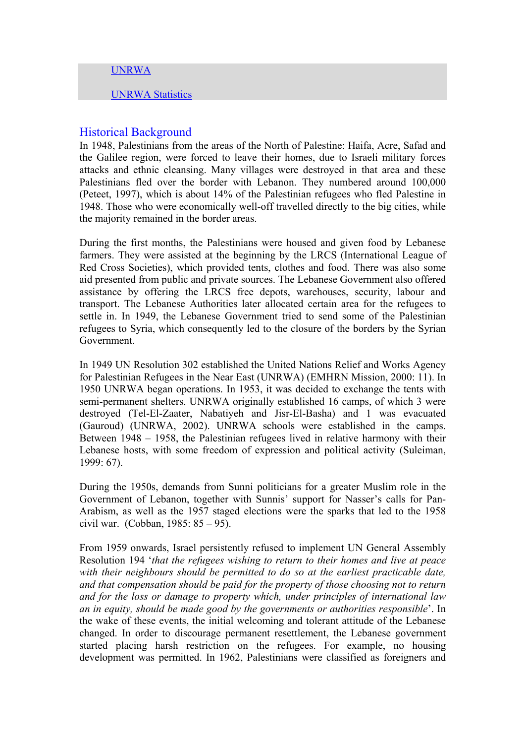#### UNRWA

UNRWA Statistics

#### Historical Background

In 1948, Palestinians from the areas of the North of Palestine: Haifa, Acre, Safad and the Galilee region, were forced to leave their homes, due to Israeli military forces attacks and ethnic cleansing. Many villages were destroyed in that area and these Palestinians fled over the border with Lebanon. They numbered around 100,000 (Peteet, 1997), which is about 14% of the Palestinian refugees who fled Palestine in 1948. Those who were economically well-off travelled directly to the big cities, while the majority remained in the border areas.

During the first months, the Palestinians were housed and given food by Lebanese farmers. They were assisted at the beginning by the LRCS (International League of Red Cross Societies), which provided tents, clothes and food. There was also some aid presented from public and private sources. The Lebanese Government also offered assistance by offering the LRCS free depots, warehouses, security, labour and transport. The Lebanese Authorities later allocated certain area for the refugees to settle in. In 1949, the Lebanese Government tried to send some of the Palestinian refugees to Syria, which consequently led to the closure of the borders by the Syrian Government.

In 1949 UN Resolution 302 established the United Nations Relief and Works Agency for Palestinian Refugees in the Near East (UNRWA) (EMHRN Mission, 2000: 11). In 1950 UNRWA began operations. In 1953, it was decided to exchange the tents with semi-permanent shelters. UNRWA originally established 16 camps, of which 3 were destroyed (Tel-El-Zaater, Nabatiyeh and Jisr-El-Basha) and 1 was evacuated (Gauroud) (UNRWA, 2002). UNRWA schools were established in the camps. Between 1948 – 1958, the Palestinian refugees lived in relative harmony with their Lebanese hosts, with some freedom of expression and political activity (Suleiman, 1999: 67).

During the 1950s, demands from Sunni politicians for a greater Muslim role in the Government of Lebanon, together with Sunnis' support for Nasser's calls for Pan-Arabism, as well as the 1957 staged elections were the sparks that led to the 1958 civil war. (Cobban, 1985: 85 – 95).

From 1959 onwards, Israel persistently refused to implement UN General Assembly Resolution 194 '*that the refugees wishing to return to their homes and live at peace with their neighbours should be permitted to do so at the earliest practicable date, and that compensation should be paid for the property of those choosing not to return and for the loss or damage to property which, under principles of international law an in equity, should be made good by the governments or authorities responsible*'. In the wake of these events, the initial welcoming and tolerant attitude of the Lebanese changed. In order to discourage permanent resettlement, the Lebanese government started placing harsh restriction on the refugees. For example, no housing development was permitted. In 1962, Palestinians were classified as foreigners and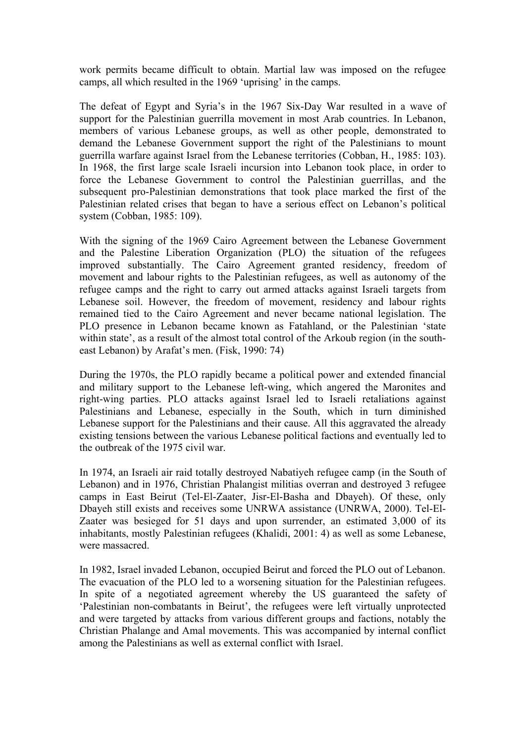work permits became difficult to obtain. Martial law was imposed on the refugee camps, all which resulted in the 1969 'uprising' in the camps.

The defeat of Egypt and Syria's in the 1967 Six-Day War resulted in a wave of support for the Palestinian guerrilla movement in most Arab countries. In Lebanon, members of various Lebanese groups, as well as other people, demonstrated to demand the Lebanese Government support the right of the Palestinians to mount guerrilla warfare against Israel from the Lebanese territories (Cobban, H., 1985: 103). In 1968, the first large scale Israeli incursion into Lebanon took place, in order to force the Lebanese Government to control the Palestinian guerrillas, and the subsequent pro-Palestinian demonstrations that took place marked the first of the Palestinian related crises that began to have a serious effect on Lebanon's political system (Cobban, 1985: 109).

With the signing of the 1969 Cairo Agreement between the Lebanese Government and the Palestine Liberation Organization (PLO) the situation of the refugees improved substantially. The Cairo Agreement granted residency, freedom of movement and labour rights to the Palestinian refugees, as well as autonomy of the refugee camps and the right to carry out armed attacks against Israeli targets from Lebanese soil. However, the freedom of movement, residency and labour rights remained tied to the Cairo Agreement and never became national legislation. The PLO presence in Lebanon became known as Fatahland, or the Palestinian 'state within state', as a result of the almost total control of the Arkoub region (in the southeast Lebanon) by Arafat's men. (Fisk, 1990: 74)

During the 1970s, the PLO rapidly became a political power and extended financial and military support to the Lebanese left-wing, which angered the Maronites and right-wing parties. PLO attacks against Israel led to Israeli retaliations against Palestinians and Lebanese, especially in the South, which in turn diminished Lebanese support for the Palestinians and their cause. All this aggravated the already existing tensions between the various Lebanese political factions and eventually led to the outbreak of the 1975 civil war.

In 1974, an Israeli air raid totally destroyed Nabatiyeh refugee camp (in the South of Lebanon) and in 1976, Christian Phalangist militias overran and destroyed 3 refugee camps in East Beirut (Tel-El-Zaater, Jisr-El-Basha and Dbayeh). Of these, only Dbayeh still exists and receives some UNRWA assistance (UNRWA, 2000). Tel-El-Zaater was besieged for 51 days and upon surrender, an estimated 3,000 of its inhabitants, mostly Palestinian refugees (Khalidi, 2001: 4) as well as some Lebanese, were massacred.

In 1982, Israel invaded Lebanon, occupied Beirut and forced the PLO out of Lebanon. The evacuation of the PLO led to a worsening situation for the Palestinian refugees. In spite of a negotiated agreement whereby the US guaranteed the safety of 'Palestinian non-combatants in Beirut', the refugees were left virtually unprotected and were targeted by attacks from various different groups and factions, notably the Christian Phalange and Amal movements. This was accompanied by internal conflict among the Palestinians as well as external conflict with Israel.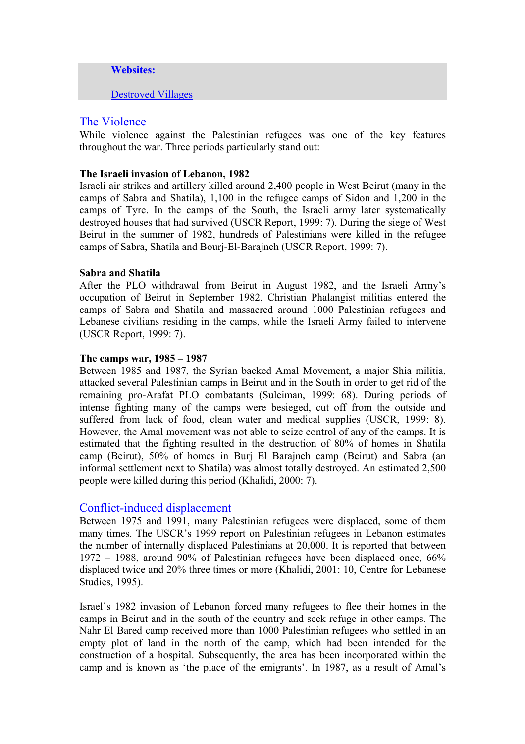**Websites:** 

Destroyed Villages

#### The Violence

While violence against the Palestinian refugees was one of the key features throughout the war. Three periods particularly stand out:

#### **The Israeli invasion of Lebanon, 1982**

Israeli air strikes and artillery killed around 2,400 people in West Beirut (many in the camps of Sabra and Shatila), 1,100 in the refugee camps of Sidon and 1,200 in the camps of Tyre. In the camps of the South, the Israeli army later systematically destroyed houses that had survived (USCR Report, 1999: 7). During the siege of West Beirut in the summer of 1982, hundreds of Palestinians were killed in the refugee camps of Sabra, Shatila and Bourj-El-Barajneh (USCR Report, 1999: 7).

#### **Sabra and Shatila**

After the PLO withdrawal from Beirut in August 1982, and the Israeli Army's occupation of Beirut in September 1982, Christian Phalangist militias entered the camps of Sabra and Shatila and massacred around 1000 Palestinian refugees and Lebanese civilians residing in the camps, while the Israeli Army failed to intervene (USCR Report, 1999: 7).

#### **The camps war, 1985 – 1987**

Between 1985 and 1987, the Syrian backed Amal Movement, a major Shia militia, attacked several Palestinian camps in Beirut and in the South in order to get rid of the remaining pro-Arafat PLO combatants (Suleiman, 1999: 68). During periods of intense fighting many of the camps were besieged, cut off from the outside and suffered from lack of food, clean water and medical supplies (USCR, 1999: 8). However, the Amal movement was not able to seize control of any of the camps. It is estimated that the fighting resulted in the destruction of 80% of homes in Shatila camp (Beirut), 50% of homes in Burj El Barajneh camp (Beirut) and Sabra (an informal settlement next to Shatila) was almost totally destroyed. An estimated 2,500 people were killed during this period (Khalidi, 2000: 7).

#### Conflict-induced displacement

Between 1975 and 1991, many Palestinian refugees were displaced, some of them many times. The USCR's 1999 report on Palestinian refugees in Lebanon estimates the number of internally displaced Palestinians at 20,000. It is reported that between 1972 – 1988, around 90% of Palestinian refugees have been displaced once, 66% displaced twice and 20% three times or more (Khalidi, 2001: 10, Centre for Lebanese Studies, 1995).

Israel's 1982 invasion of Lebanon forced many refugees to flee their homes in the camps in Beirut and in the south of the country and seek refuge in other camps. The Nahr El Bared camp received more than 1000 Palestinian refugees who settled in an empty plot of land in the north of the camp, which had been intended for the construction of a hospital. Subsequently, the area has been incorporated within the camp and is known as 'the place of the emigrants'. In 1987, as a result of Amal's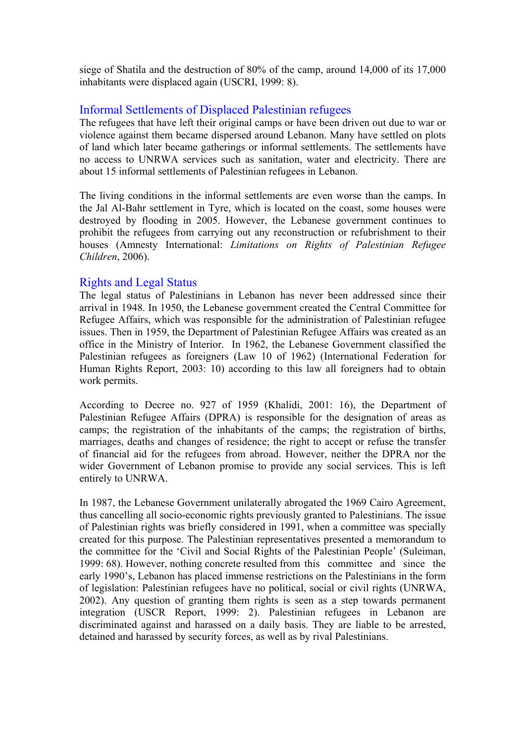siege of Shatila and the destruction of 80% of the camp, around 14,000 of its 17,000 inhabitants were displaced again (USCRI, 1999: 8).

# Informal Settlements of Displaced Palestinian refugees

The refugees that have left their original camps or have been driven out due to war or violence against them became dispersed around Lebanon. Many have settled on plots of land which later became gatherings or informal settlements. The settlements have no access to UNRWA services such as sanitation, water and electricity. There are about 15 informal settlements of Palestinian refugees in Lebanon.

The living conditions in the informal settlements are even worse than the camps. In the Jal Al-Bahr settlement in Tyre, which is located on the coast, some houses were destroyed by flooding in 2005. However, the Lebanese government continues to prohibit the refugees from carrying out any reconstruction or refubrishment to their houses (Amnesty International: *Limitations on Rights of Palestinian Refugee Children*, 2006).

## Rights and Legal Status

The legal status of Palestinians in Lebanon has never been addressed since their arrival in 1948. In 1950, the Lebanese government created the Central Committee for Refugee Affairs, which was responsible for the administration of Palestinian refugee issues. Then in 1959, the Department of Palestinian Refugee Affairs was created as an office in the Ministry of Interior. In 1962, the Lebanese Government classified the Palestinian refugees as foreigners (Law 10 of 1962) (International Federation for Human Rights Report, 2003: 10) according to this law all foreigners had to obtain work permits.

According to Decree no. 927 of 1959 (Khalidi, 2001: 16), the Department of Palestinian Refugee Affairs (DPRA) is responsible for the designation of areas as camps; the registration of the inhabitants of the camps; the registration of births, marriages, deaths and changes of residence; the right to accept or refuse the transfer of financial aid for the refugees from abroad. However, neither the DPRA nor the wider Government of Lebanon promise to provide any social services. This is left entirely to UNRWA.

In 1987, the Lebanese Government unilaterally abrogated the 1969 Cairo Agreement, thus cancelling all socio-economic rights previously granted to Palestinians. The issue of Palestinian rights was briefly considered in 1991, when a committee was specially created for this purpose. The Palestinian representatives presented a memorandum to the committee for the 'Civil and Social Rights of the Palestinian People' (Suleiman, 1999: 68). However, nothing concrete resulted from this committee and since the early 1990's, Lebanon has placed immense restrictions on the Palestinians in the form of legislation: Palestinian refugees have no political, social or civil rights (UNRWA, 2002). Any question of granting them rights is seen as a step towards permanent integration (USCR Report, 1999: 2). Palestinian refugees in Lebanon are discriminated against and harassed on a daily basis. They are liable to be arrested, detained and harassed by security forces, as well as by rival Palestinians.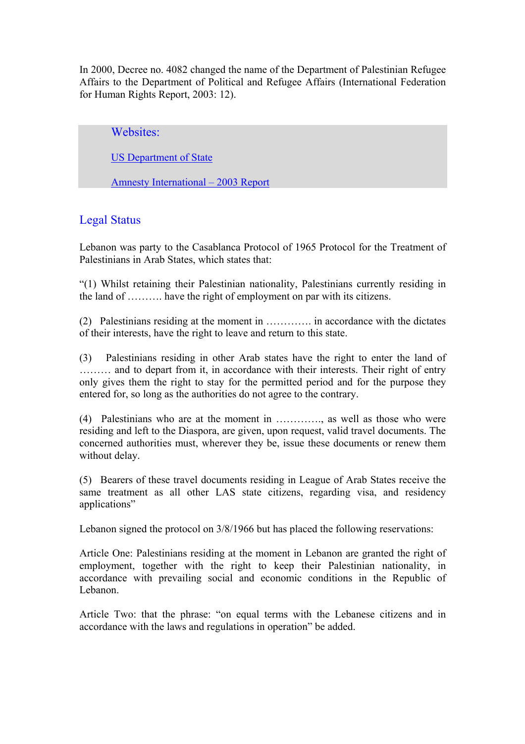In 2000, Decree no. 4082 changed the name of the Department of Palestinian Refugee Affairs to the Department of Political and Refugee Affairs (International Federation for Human Rights Report, 2003: 12).

Websites:

US Department of State

Amnesty International – 2003 Report

# Legal Status

Lebanon was party to the Casablanca Protocol of 1965 Protocol for the Treatment of Palestinians in Arab States, which states that:

"(1) Whilst retaining their Palestinian nationality, Palestinians currently residing in the land of ………. have the right of employment on par with its citizens.

(2) Palestinians residing at the moment in …………. in accordance with the dictates of their interests, have the right to leave and return to this state.

(3) Palestinians residing in other Arab states have the right to enter the land of ……… and to depart from it, in accordance with their interests. Their right of entry only gives them the right to stay for the permitted period and for the purpose they entered for, so long as the authorities do not agree to the contrary.

(4) Palestinians who are at the moment in …………., as well as those who were residing and left to the Diaspora, are given, upon request, valid travel documents. The concerned authorities must, wherever they be, issue these documents or renew them without delay.

(5) Bearers of these travel documents residing in League of Arab States receive the same treatment as all other LAS state citizens, regarding visa, and residency applications"

Lebanon signed the protocol on 3/8/1966 but has placed the following reservations:

Article One: Palestinians residing at the moment in Lebanon are granted the right of employment, together with the right to keep their Palestinian nationality, in accordance with prevailing social and economic conditions in the Republic of Lebanon.

Article Two: that the phrase: "on equal terms with the Lebanese citizens and in accordance with the laws and regulations in operation" be added.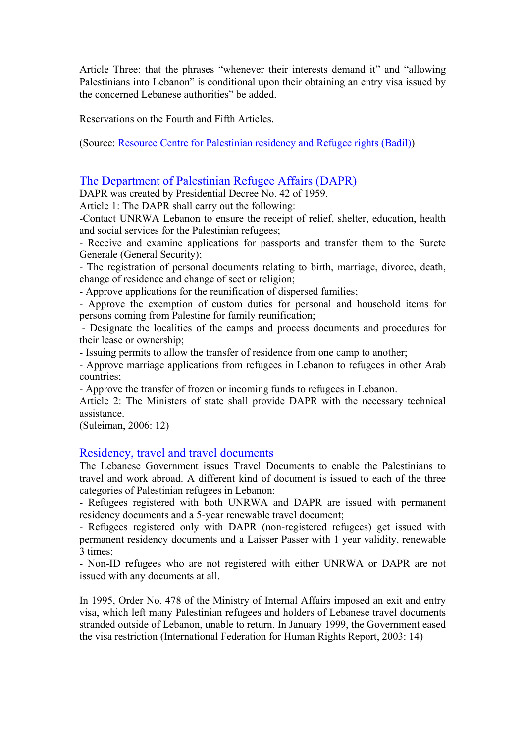Article Three: that the phrases "whenever their interests demand it" and "allowing Palestinians into Lebanon" is conditional upon their obtaining an entry visa issued by the concerned Lebanese authorities" be added.

Reservations on the Fourth and Fifth Articles.

(Source: Resource Centre for Palestinian residency and Refugee rights (Badil))

# The Department of Palestinian Refugee Affairs (DAPR)

DAPR was created by Presidential Decree No. 42 of 1959.

Article 1: The DAPR shall carry out the following:

-Contact UNRWA Lebanon to ensure the receipt of relief, shelter, education, health and social services for the Palestinian refugees;

- Receive and examine applications for passports and transfer them to the Surete Generale (General Security);

- The registration of personal documents relating to birth, marriage, divorce, death, change of residence and change of sect or religion;

- Approve applications for the reunification of dispersed families;

- Approve the exemption of custom duties for personal and household items for persons coming from Palestine for family reunification;

 - Designate the localities of the camps and process documents and procedures for their lease or ownership;

- Issuing permits to allow the transfer of residence from one camp to another;

- Approve marriage applications from refugees in Lebanon to refugees in other Arab countries;

- Approve the transfer of frozen or incoming funds to refugees in Lebanon.

Article 2: The Ministers of state shall provide DAPR with the necessary technical assistance.

(Suleiman, 2006: 12)

## Residency, travel and travel documents

The Lebanese Government issues Travel Documents to enable the Palestinians to travel and work abroad. A different kind of document is issued to each of the three categories of Palestinian refugees in Lebanon:

- Refugees registered with both UNRWA and DAPR are issued with permanent residency documents and a 5-year renewable travel document;

- Refugees registered only with DAPR (non-registered refugees) get issued with permanent residency documents and a Laisser Passer with 1 year validity, renewable 3 times;

- Non-ID refugees who are not registered with either UNRWA or DAPR are not issued with any documents at all.

In 1995, Order No. 478 of the Ministry of Internal Affairs imposed an exit and entry visa, which left many Palestinian refugees and holders of Lebanese travel documents stranded outside of Lebanon, unable to return. In January 1999, the Government eased the visa restriction (International Federation for Human Rights Report, 2003: 14)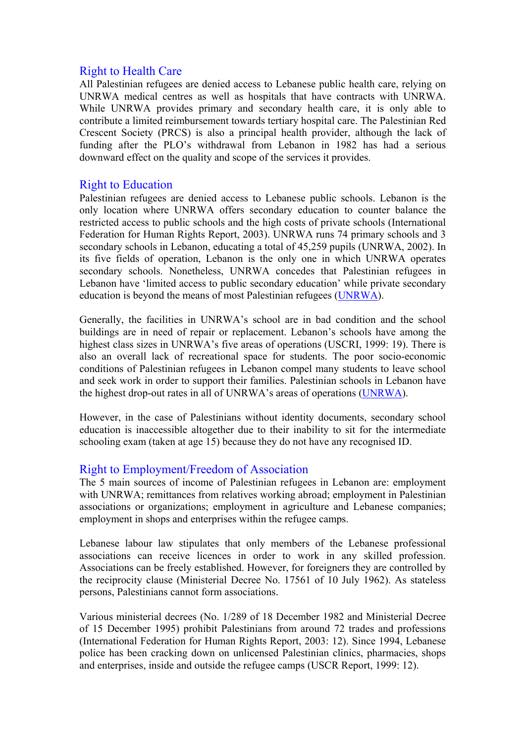## Right to Health Care

All Palestinian refugees are denied access to Lebanese public health care, relying on UNRWA medical centres as well as hospitals that have contracts with UNRWA. While UNRWA provides primary and secondary health care, it is only able to contribute a limited reimbursement towards tertiary hospital care. The Palestinian Red Crescent Society (PRCS) is also a principal health provider, although the lack of funding after the PLO's withdrawal from Lebanon in 1982 has had a serious downward effect on the quality and scope of the services it provides.

## Right to Education

Palestinian refugees are denied access to Lebanese public schools. Lebanon is the only location where UNRWA offers secondary education to counter balance the restricted access to public schools and the high costs of private schools (International Federation for Human Rights Report, 2003). UNRWA runs 74 primary schools and 3 secondary schools in Lebanon, educating a total of 45,259 pupils (UNRWA, 2002). In its five fields of operation, Lebanon is the only one in which UNRWA operates secondary schools. Nonetheless, UNRWA concedes that Palestinian refugees in Lebanon have 'limited access to public secondary education' while private secondary education is beyond the means of most Palestinian refugees (UNRWA).

Generally, the facilities in UNRWA's school are in bad condition and the school buildings are in need of repair or replacement. Lebanon's schools have among the highest class sizes in UNRWA's five areas of operations (USCRI, 1999: 19). There is also an overall lack of recreational space for students. The poor socio-economic conditions of Palestinian refugees in Lebanon compel many students to leave school and seek work in order to support their families. Palestinian schools in Lebanon have the highest drop-out rates in all of UNRWA's areas of operations (UNRWA).

However, in the case of Palestinians without identity documents, secondary school education is inaccessible altogether due to their inability to sit for the intermediate schooling exam (taken at age 15) because they do not have any recognised ID.

# Right to Employment/Freedom of Association

The 5 main sources of income of Palestinian refugees in Lebanon are: employment with UNRWA; remittances from relatives working abroad; employment in Palestinian associations or organizations; employment in agriculture and Lebanese companies; employment in shops and enterprises within the refugee camps.

Lebanese labour law stipulates that only members of the Lebanese professional associations can receive licences in order to work in any skilled profession. Associations can be freely established. However, for foreigners they are controlled by the reciprocity clause (Ministerial Decree No. 17561 of 10 July 1962). As stateless persons, Palestinians cannot form associations.

Various ministerial decrees (No. 1/289 of 18 December 1982 and Ministerial Decree of 15 December 1995) prohibit Palestinians from around 72 trades and professions (International Federation for Human Rights Report, 2003: 12). Since 1994, Lebanese police has been cracking down on unlicensed Palestinian clinics, pharmacies, shops and enterprises, inside and outside the refugee camps (USCR Report, 1999: 12).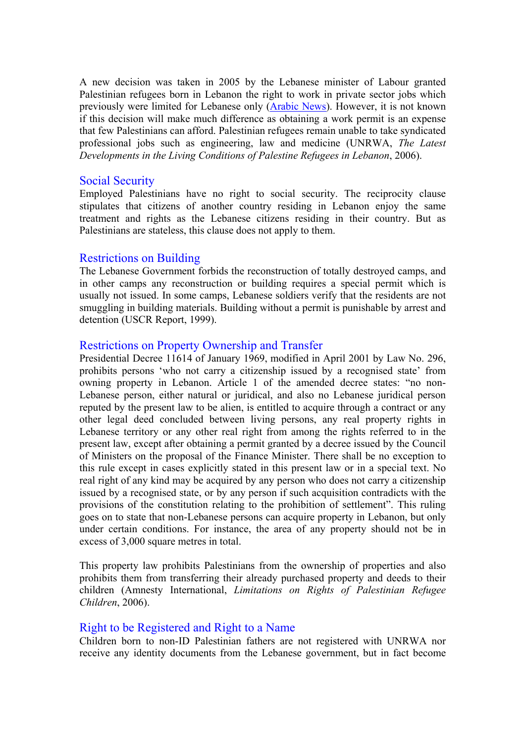A new decision was taken in 2005 by the Lebanese minister of Labour granted Palestinian refugees born in Lebanon the right to work in private sector jobs which previously were limited for Lebanese only (Arabic News). However, it is not known if this decision will make much difference as obtaining a work permit is an expense that few Palestinians can afford. Palestinian refugees remain unable to take syndicated professional jobs such as engineering, law and medicine (UNRWA, *The Latest Developments in the Living Conditions of Palestine Refugees in Lebanon*, 2006).

## Social Security

Employed Palestinians have no right to social security. The reciprocity clause stipulates that citizens of another country residing in Lebanon enjoy the same treatment and rights as the Lebanese citizens residing in their country. But as Palestinians are stateless, this clause does not apply to them.

## Restrictions on Building

The Lebanese Government forbids the reconstruction of totally destroyed camps, and in other camps any reconstruction or building requires a special permit which is usually not issued. In some camps, Lebanese soldiers verify that the residents are not smuggling in building materials. Building without a permit is punishable by arrest and detention (USCR Report, 1999).

## Restrictions on Property Ownership and Transfer

Presidential Decree 11614 of January 1969, modified in April 2001 by Law No. 296, prohibits persons 'who not carry a citizenship issued by a recognised state' from owning property in Lebanon. Article 1 of the amended decree states: "no non-Lebanese person, either natural or juridical, and also no Lebanese juridical person reputed by the present law to be alien, is entitled to acquire through a contract or any other legal deed concluded between living persons, any real property rights in Lebanese territory or any other real right from among the rights referred to in the present law, except after obtaining a permit granted by a decree issued by the Council of Ministers on the proposal of the Finance Minister. There shall be no exception to this rule except in cases explicitly stated in this present law or in a special text. No real right of any kind may be acquired by any person who does not carry a citizenship issued by a recognised state, or by any person if such acquisition contradicts with the provisions of the constitution relating to the prohibition of settlement". This ruling goes on to state that non-Lebanese persons can acquire property in Lebanon, but only under certain conditions. For instance, the area of any property should not be in excess of 3,000 square metres in total.

This property law prohibits Palestinians from the ownership of properties and also prohibits them from transferring their already purchased property and deeds to their children (Amnesty International, *Limitations on Rights of Palestinian Refugee Children*, 2006).

# Right to be Registered and Right to a Name

Children born to non-ID Palestinian fathers are not registered with UNRWA nor receive any identity documents from the Lebanese government, but in fact become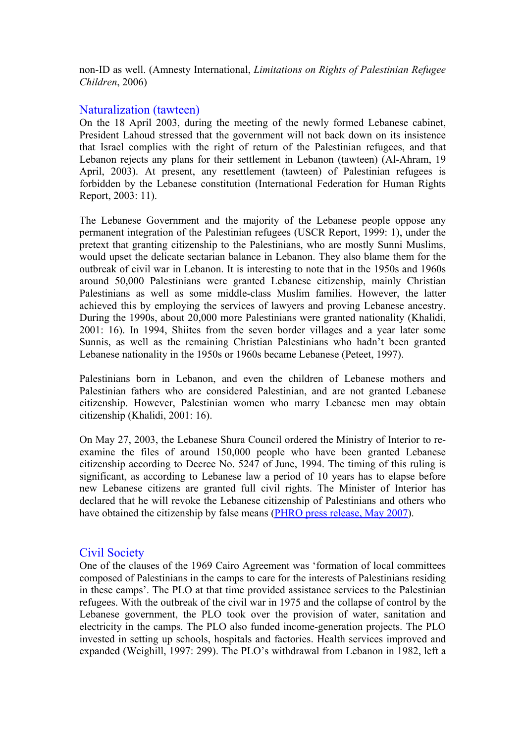non-ID as well. (Amnesty International, *Limitations on Rights of Palestinian Refugee Children*, 2006)

#### Naturalization (tawteen)

On the 18 April 2003, during the meeting of the newly formed Lebanese cabinet, President Lahoud stressed that the government will not back down on its insistence that Israel complies with the right of return of the Palestinian refugees, and that Lebanon rejects any plans for their settlement in Lebanon (tawteen) (Al-Ahram, 19 April, 2003). At present, any resettlement (tawteen) of Palestinian refugees is forbidden by the Lebanese constitution (International Federation for Human Rights Report, 2003: 11).

The Lebanese Government and the majority of the Lebanese people oppose any permanent integration of the Palestinian refugees (USCR Report, 1999: 1), under the pretext that granting citizenship to the Palestinians, who are mostly Sunni Muslims, would upset the delicate sectarian balance in Lebanon. They also blame them for the outbreak of civil war in Lebanon. It is interesting to note that in the 1950s and 1960s around 50,000 Palestinians were granted Lebanese citizenship, mainly Christian Palestinians as well as some middle-class Muslim families. However, the latter achieved this by employing the services of lawyers and proving Lebanese ancestry. During the 1990s, about 20,000 more Palestinians were granted nationality (Khalidi, 2001: 16). In 1994, Shiites from the seven border villages and a year later some Sunnis, as well as the remaining Christian Palestinians who hadn't been granted Lebanese nationality in the 1950s or 1960s became Lebanese (Peteet, 1997).

Palestinians born in Lebanon, and even the children of Lebanese mothers and Palestinian fathers who are considered Palestinian, and are not granted Lebanese citizenship. However, Palestinian women who marry Lebanese men may obtain citizenship (Khalidi, 2001: 16).

On May 27, 2003, the Lebanese Shura Council ordered the Ministry of Interior to reexamine the files of around 150,000 people who have been granted Lebanese citizenship according to Decree No. 5247 of June, 1994. The timing of this ruling is significant, as according to Lebanese law a period of 10 years has to elapse before new Lebanese citizens are granted full civil rights. The Minister of Interior has declared that he will revoke the Lebanese citizenship of Palestinians and others who have obtained the citizenship by false means (PHRO press release, May 2007).

## Civil Society

One of the clauses of the 1969 Cairo Agreement was 'formation of local committees composed of Palestinians in the camps to care for the interests of Palestinians residing in these camps'. The PLO at that time provided assistance services to the Palestinian refugees. With the outbreak of the civil war in 1975 and the collapse of control by the Lebanese government, the PLO took over the provision of water, sanitation and electricity in the camps. The PLO also funded income-generation projects. The PLO invested in setting up schools, hospitals and factories. Health services improved and expanded (Weighill, 1997: 299). The PLO's withdrawal from Lebanon in 1982, left a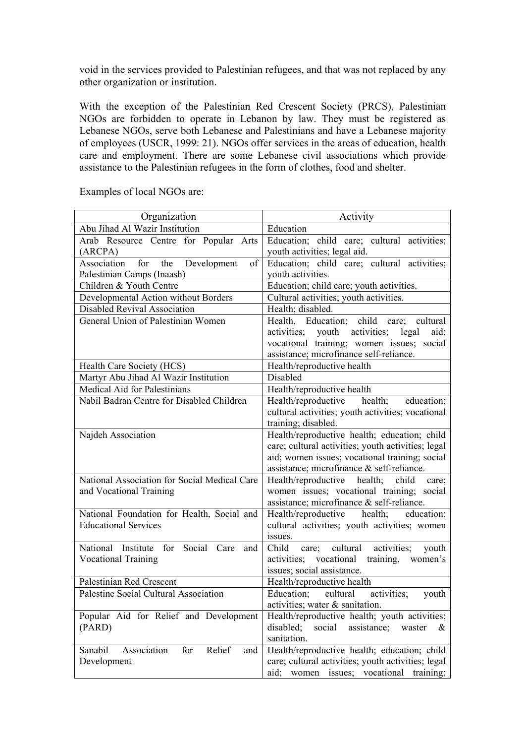void in the services provided to Palestinian refugees, and that was not replaced by any other organization or institution.

With the exception of the Palestinian Red Crescent Society (PRCS), Palestinian NGOs are forbidden to operate in Lebanon by law. They must be registered as Lebanese NGOs, serve both Lebanese and Palestinians and have a Lebanese majority of employees (USCR, 1999: 21). NGOs offer services in the areas of education, health care and employment. There are some Lebanese civil associations which provide assistance to the Palestinian refugees in the form of clothes, food and shelter.

| Abu Jihad Al Wazir Institution<br>Education<br>Arab Resource Centre for Popular Arts<br>Education; child care; cultural activities;<br>youth activities; legal aid.<br>(ARCPA)<br>for the<br>Education; child care; cultural activities;<br>Association<br>Development<br>of<br>Palestinian Camps (Inaash)<br>youth activities.<br>Children & Youth Centre<br>Education; child care; youth activities.<br>Developmental Action without Borders<br>Cultural activities; youth activities.<br><b>Disabled Revival Association</b><br>Health; disabled.<br>Health, Education; child care; cultural<br>General Union of Palestinian Women<br>activities; youth activities;<br>legal<br>aid;<br>vocational training; women issues; social<br>assistance; microfinance self-reliance.<br>Health/reproductive health<br>Health Care Society (HCS)<br>Martyr Abu Jihad Al Wazir Institution<br>Disabled<br>Medical Aid for Palestinians<br>Health/reproductive health<br>Nabil Badran Centre for Disabled Children<br>Health/reproductive health; education;<br>cultural activities; youth activities; vocational<br>training; disabled.<br>Health/reproductive health; education; child<br>Najdeh Association<br>care; cultural activities; youth activities; legal<br>aid; women issues; vocational training; social<br>assistance; microfinance & self-reliance.<br>National Association for Social Medical Care<br>Health/reproductive health;<br>child<br>care:<br>women issues; vocational training; social<br>and Vocational Training<br>assistance; microfinance & self-reliance.<br>National Foundation for Health, Social and<br>Health/reproductive health;<br>education;<br>cultural activities; youth activities; women<br><b>Educational Services</b><br>issues.<br>Social Care<br>Child<br>cultural<br>National Institute for<br>activities;<br>care;<br>youth<br>and | Organization | Activity                                    |
|------------------------------------------------------------------------------------------------------------------------------------------------------------------------------------------------------------------------------------------------------------------------------------------------------------------------------------------------------------------------------------------------------------------------------------------------------------------------------------------------------------------------------------------------------------------------------------------------------------------------------------------------------------------------------------------------------------------------------------------------------------------------------------------------------------------------------------------------------------------------------------------------------------------------------------------------------------------------------------------------------------------------------------------------------------------------------------------------------------------------------------------------------------------------------------------------------------------------------------------------------------------------------------------------------------------------------------------------------------------------------------------------------------------------------------------------------------------------------------------------------------------------------------------------------------------------------------------------------------------------------------------------------------------------------------------------------------------------------------------------------------------------------------------------------------------------------------------------------------------------------|--------------|---------------------------------------------|
|                                                                                                                                                                                                                                                                                                                                                                                                                                                                                                                                                                                                                                                                                                                                                                                                                                                                                                                                                                                                                                                                                                                                                                                                                                                                                                                                                                                                                                                                                                                                                                                                                                                                                                                                                                                                                                                                              |              |                                             |
|                                                                                                                                                                                                                                                                                                                                                                                                                                                                                                                                                                                                                                                                                                                                                                                                                                                                                                                                                                                                                                                                                                                                                                                                                                                                                                                                                                                                                                                                                                                                                                                                                                                                                                                                                                                                                                                                              |              |                                             |
|                                                                                                                                                                                                                                                                                                                                                                                                                                                                                                                                                                                                                                                                                                                                                                                                                                                                                                                                                                                                                                                                                                                                                                                                                                                                                                                                                                                                                                                                                                                                                                                                                                                                                                                                                                                                                                                                              |              |                                             |
|                                                                                                                                                                                                                                                                                                                                                                                                                                                                                                                                                                                                                                                                                                                                                                                                                                                                                                                                                                                                                                                                                                                                                                                                                                                                                                                                                                                                                                                                                                                                                                                                                                                                                                                                                                                                                                                                              |              |                                             |
|                                                                                                                                                                                                                                                                                                                                                                                                                                                                                                                                                                                                                                                                                                                                                                                                                                                                                                                                                                                                                                                                                                                                                                                                                                                                                                                                                                                                                                                                                                                                                                                                                                                                                                                                                                                                                                                                              |              |                                             |
|                                                                                                                                                                                                                                                                                                                                                                                                                                                                                                                                                                                                                                                                                                                                                                                                                                                                                                                                                                                                                                                                                                                                                                                                                                                                                                                                                                                                                                                                                                                                                                                                                                                                                                                                                                                                                                                                              |              |                                             |
|                                                                                                                                                                                                                                                                                                                                                                                                                                                                                                                                                                                                                                                                                                                                                                                                                                                                                                                                                                                                                                                                                                                                                                                                                                                                                                                                                                                                                                                                                                                                                                                                                                                                                                                                                                                                                                                                              |              |                                             |
|                                                                                                                                                                                                                                                                                                                                                                                                                                                                                                                                                                                                                                                                                                                                                                                                                                                                                                                                                                                                                                                                                                                                                                                                                                                                                                                                                                                                                                                                                                                                                                                                                                                                                                                                                                                                                                                                              |              |                                             |
|                                                                                                                                                                                                                                                                                                                                                                                                                                                                                                                                                                                                                                                                                                                                                                                                                                                                                                                                                                                                                                                                                                                                                                                                                                                                                                                                                                                                                                                                                                                                                                                                                                                                                                                                                                                                                                                                              |              |                                             |
|                                                                                                                                                                                                                                                                                                                                                                                                                                                                                                                                                                                                                                                                                                                                                                                                                                                                                                                                                                                                                                                                                                                                                                                                                                                                                                                                                                                                                                                                                                                                                                                                                                                                                                                                                                                                                                                                              |              |                                             |
|                                                                                                                                                                                                                                                                                                                                                                                                                                                                                                                                                                                                                                                                                                                                                                                                                                                                                                                                                                                                                                                                                                                                                                                                                                                                                                                                                                                                                                                                                                                                                                                                                                                                                                                                                                                                                                                                              |              |                                             |
|                                                                                                                                                                                                                                                                                                                                                                                                                                                                                                                                                                                                                                                                                                                                                                                                                                                                                                                                                                                                                                                                                                                                                                                                                                                                                                                                                                                                                                                                                                                                                                                                                                                                                                                                                                                                                                                                              |              |                                             |
|                                                                                                                                                                                                                                                                                                                                                                                                                                                                                                                                                                                                                                                                                                                                                                                                                                                                                                                                                                                                                                                                                                                                                                                                                                                                                                                                                                                                                                                                                                                                                                                                                                                                                                                                                                                                                                                                              |              |                                             |
|                                                                                                                                                                                                                                                                                                                                                                                                                                                                                                                                                                                                                                                                                                                                                                                                                                                                                                                                                                                                                                                                                                                                                                                                                                                                                                                                                                                                                                                                                                                                                                                                                                                                                                                                                                                                                                                                              |              |                                             |
|                                                                                                                                                                                                                                                                                                                                                                                                                                                                                                                                                                                                                                                                                                                                                                                                                                                                                                                                                                                                                                                                                                                                                                                                                                                                                                                                                                                                                                                                                                                                                                                                                                                                                                                                                                                                                                                                              |              |                                             |
|                                                                                                                                                                                                                                                                                                                                                                                                                                                                                                                                                                                                                                                                                                                                                                                                                                                                                                                                                                                                                                                                                                                                                                                                                                                                                                                                                                                                                                                                                                                                                                                                                                                                                                                                                                                                                                                                              |              |                                             |
|                                                                                                                                                                                                                                                                                                                                                                                                                                                                                                                                                                                                                                                                                                                                                                                                                                                                                                                                                                                                                                                                                                                                                                                                                                                                                                                                                                                                                                                                                                                                                                                                                                                                                                                                                                                                                                                                              |              |                                             |
|                                                                                                                                                                                                                                                                                                                                                                                                                                                                                                                                                                                                                                                                                                                                                                                                                                                                                                                                                                                                                                                                                                                                                                                                                                                                                                                                                                                                                                                                                                                                                                                                                                                                                                                                                                                                                                                                              |              |                                             |
|                                                                                                                                                                                                                                                                                                                                                                                                                                                                                                                                                                                                                                                                                                                                                                                                                                                                                                                                                                                                                                                                                                                                                                                                                                                                                                                                                                                                                                                                                                                                                                                                                                                                                                                                                                                                                                                                              |              |                                             |
|                                                                                                                                                                                                                                                                                                                                                                                                                                                                                                                                                                                                                                                                                                                                                                                                                                                                                                                                                                                                                                                                                                                                                                                                                                                                                                                                                                                                                                                                                                                                                                                                                                                                                                                                                                                                                                                                              |              |                                             |
|                                                                                                                                                                                                                                                                                                                                                                                                                                                                                                                                                                                                                                                                                                                                                                                                                                                                                                                                                                                                                                                                                                                                                                                                                                                                                                                                                                                                                                                                                                                                                                                                                                                                                                                                                                                                                                                                              |              |                                             |
|                                                                                                                                                                                                                                                                                                                                                                                                                                                                                                                                                                                                                                                                                                                                                                                                                                                                                                                                                                                                                                                                                                                                                                                                                                                                                                                                                                                                                                                                                                                                                                                                                                                                                                                                                                                                                                                                              |              |                                             |
|                                                                                                                                                                                                                                                                                                                                                                                                                                                                                                                                                                                                                                                                                                                                                                                                                                                                                                                                                                                                                                                                                                                                                                                                                                                                                                                                                                                                                                                                                                                                                                                                                                                                                                                                                                                                                                                                              |              |                                             |
|                                                                                                                                                                                                                                                                                                                                                                                                                                                                                                                                                                                                                                                                                                                                                                                                                                                                                                                                                                                                                                                                                                                                                                                                                                                                                                                                                                                                                                                                                                                                                                                                                                                                                                                                                                                                                                                                              |              |                                             |
|                                                                                                                                                                                                                                                                                                                                                                                                                                                                                                                                                                                                                                                                                                                                                                                                                                                                                                                                                                                                                                                                                                                                                                                                                                                                                                                                                                                                                                                                                                                                                                                                                                                                                                                                                                                                                                                                              |              |                                             |
|                                                                                                                                                                                                                                                                                                                                                                                                                                                                                                                                                                                                                                                                                                                                                                                                                                                                                                                                                                                                                                                                                                                                                                                                                                                                                                                                                                                                                                                                                                                                                                                                                                                                                                                                                                                                                                                                              |              |                                             |
|                                                                                                                                                                                                                                                                                                                                                                                                                                                                                                                                                                                                                                                                                                                                                                                                                                                                                                                                                                                                                                                                                                                                                                                                                                                                                                                                                                                                                                                                                                                                                                                                                                                                                                                                                                                                                                                                              |              |                                             |
|                                                                                                                                                                                                                                                                                                                                                                                                                                                                                                                                                                                                                                                                                                                                                                                                                                                                                                                                                                                                                                                                                                                                                                                                                                                                                                                                                                                                                                                                                                                                                                                                                                                                                                                                                                                                                                                                              |              |                                             |
|                                                                                                                                                                                                                                                                                                                                                                                                                                                                                                                                                                                                                                                                                                                                                                                                                                                                                                                                                                                                                                                                                                                                                                                                                                                                                                                                                                                                                                                                                                                                                                                                                                                                                                                                                                                                                                                                              |              | activities; vocational training,<br>women's |
| <b>Vocational Training</b><br>issues; social assistance.                                                                                                                                                                                                                                                                                                                                                                                                                                                                                                                                                                                                                                                                                                                                                                                                                                                                                                                                                                                                                                                                                                                                                                                                                                                                                                                                                                                                                                                                                                                                                                                                                                                                                                                                                                                                                     |              |                                             |
| Palestinian Red Crescent                                                                                                                                                                                                                                                                                                                                                                                                                                                                                                                                                                                                                                                                                                                                                                                                                                                                                                                                                                                                                                                                                                                                                                                                                                                                                                                                                                                                                                                                                                                                                                                                                                                                                                                                                                                                                                                     |              |                                             |
| Health/reproductive health<br>Palestine Social Cultural Association<br>Education;<br>cultural<br>activities;                                                                                                                                                                                                                                                                                                                                                                                                                                                                                                                                                                                                                                                                                                                                                                                                                                                                                                                                                                                                                                                                                                                                                                                                                                                                                                                                                                                                                                                                                                                                                                                                                                                                                                                                                                 |              |                                             |
| youth<br>activities; water & sanitation.                                                                                                                                                                                                                                                                                                                                                                                                                                                                                                                                                                                                                                                                                                                                                                                                                                                                                                                                                                                                                                                                                                                                                                                                                                                                                                                                                                                                                                                                                                                                                                                                                                                                                                                                                                                                                                     |              |                                             |
| Popular Aid for Relief and Development<br>Health/reproductive health; youth activities;                                                                                                                                                                                                                                                                                                                                                                                                                                                                                                                                                                                                                                                                                                                                                                                                                                                                                                                                                                                                                                                                                                                                                                                                                                                                                                                                                                                                                                                                                                                                                                                                                                                                                                                                                                                      |              |                                             |
| disabled;<br>(PARD)<br>social<br>assistance;<br>waster<br>&                                                                                                                                                                                                                                                                                                                                                                                                                                                                                                                                                                                                                                                                                                                                                                                                                                                                                                                                                                                                                                                                                                                                                                                                                                                                                                                                                                                                                                                                                                                                                                                                                                                                                                                                                                                                                  |              |                                             |
| sanitation.                                                                                                                                                                                                                                                                                                                                                                                                                                                                                                                                                                                                                                                                                                                                                                                                                                                                                                                                                                                                                                                                                                                                                                                                                                                                                                                                                                                                                                                                                                                                                                                                                                                                                                                                                                                                                                                                  |              |                                             |
| Relief<br>Health/reproductive health; education; child<br>Sanabil<br>Association<br>for<br>and                                                                                                                                                                                                                                                                                                                                                                                                                                                                                                                                                                                                                                                                                                                                                                                                                                                                                                                                                                                                                                                                                                                                                                                                                                                                                                                                                                                                                                                                                                                                                                                                                                                                                                                                                                               |              |                                             |
| care; cultural activities; youth activities; legal<br>Development                                                                                                                                                                                                                                                                                                                                                                                                                                                                                                                                                                                                                                                                                                                                                                                                                                                                                                                                                                                                                                                                                                                                                                                                                                                                                                                                                                                                                                                                                                                                                                                                                                                                                                                                                                                                            |              |                                             |
| women issues; vocational<br>aid;<br>training;                                                                                                                                                                                                                                                                                                                                                                                                                                                                                                                                                                                                                                                                                                                                                                                                                                                                                                                                                                                                                                                                                                                                                                                                                                                                                                                                                                                                                                                                                                                                                                                                                                                                                                                                                                                                                                |              |                                             |

Examples of local NGOs are: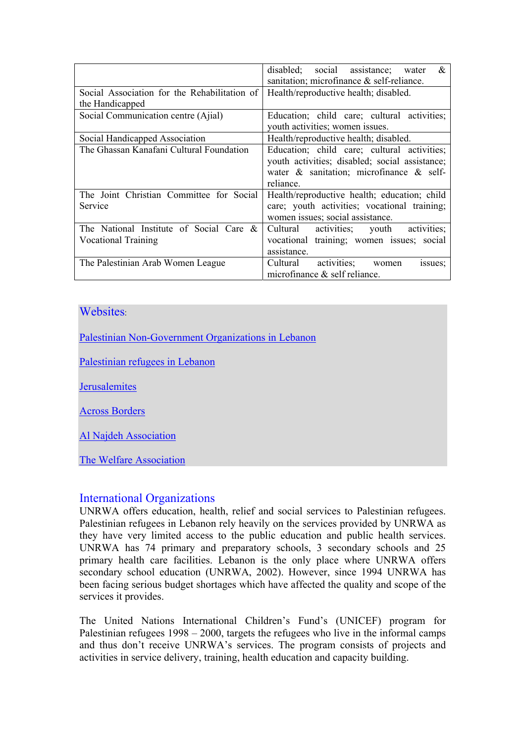|                                              | disabled; social assistance; water<br>&<br>sanitation; microfinance & self-reliance. |
|----------------------------------------------|--------------------------------------------------------------------------------------|
|                                              |                                                                                      |
| Social Association for the Rehabilitation of | Health/reproductive health; disabled.                                                |
| the Handicapped                              |                                                                                      |
| Social Communication centre (Ajial)          | Education; child care; cultural activities;                                          |
|                                              | youth activities; women issues.                                                      |
| Social Handicapped Association               | Health/reproductive health; disabled.                                                |
| The Ghassan Kanafani Cultural Foundation     | Education; child care; cultural activities;                                          |
|                                              | youth activities; disabled; social assistance;                                       |
|                                              | water $\&$ sanitation; microfinance $\&$ self-                                       |
|                                              | reliance.                                                                            |
| The Joint Christian Committee for Social     | Health/reproductive health; education; child                                         |
| Service                                      | care; youth activities; vocational training;                                         |
|                                              | women issues; social assistance.                                                     |
| The National Institute of Social Care $\&$   | Cultural activities; youth activities;                                               |
| <b>Vocational Training</b>                   | vocational training; women issues; social                                            |
|                                              | assistance.                                                                          |
| The Palestinian Arab Women League            | activities;<br>Cultural<br>issues;<br>women                                          |
|                                              | microfinance $\&$ self reliance.                                                     |

# Websites

Palestinian Non-Government Organizations in Lebanon

Palestinian refugees in Lebanon

**Jerusalemites** 

Across Borders

Al Najdeh Association

The Welfare Association

## International Organizations

UNRWA offers education, health, relief and social services to Palestinian refugees. Palestinian refugees in Lebanon rely heavily on the services provided by UNRWA as they have very limited access to the public education and public health services. UNRWA has 74 primary and preparatory schools, 3 secondary schools and 25 primary health care facilities. Lebanon is the only place where UNRWA offers secondary school education (UNRWA, 2002). However, since 1994 UNRWA has been facing serious budget shortages which have affected the quality and scope of the services it provides.

The United Nations International Children's Fund's (UNICEF) program for Palestinian refugees 1998 – 2000, targets the refugees who live in the informal camps and thus don't receive UNRWA's services. The program consists of projects and activities in service delivery, training, health education and capacity building.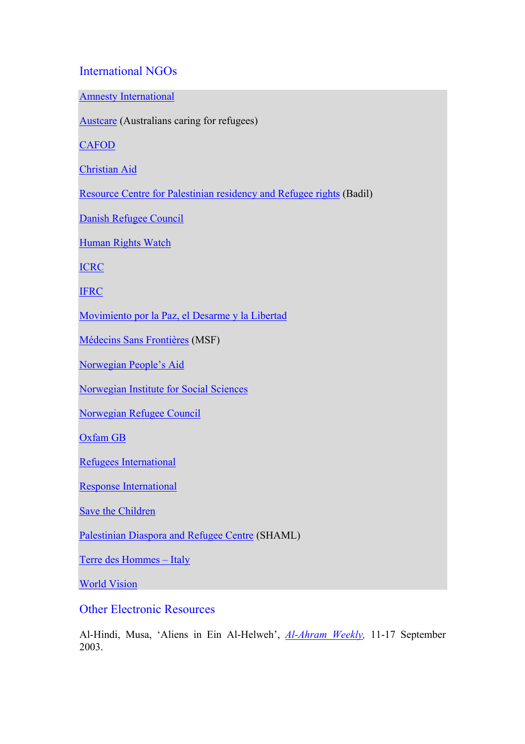# International NGOs

Amnesty International

Austcare (Australians caring for refugees)

**CAFOD** 

Christian Aid

Resource Centre for Palestinian residency and Refugee rights (Badil)

Danish Refugee Council

Human Rights Watch

ICRC

**IFRC** 

Movimiento por la Paz, el Desarme y la Libertad

Médecins Sans Frontières (MSF)

Norwegian People's Aid

Norwegian Institute for Social Sciences

Norwegian Refugee Council

Oxfam GB

Refugees International

Response International

Save the Children

Palestinian Diaspora and Refugee Centre (SHAML)

Terre des Hommes – Italy

World Vision

Other Electronic Resources

Al-Hindi, Musa, 'Aliens in Ein Al-Helweh', *Al-Ahram Weekly,* 11-17 September 2003.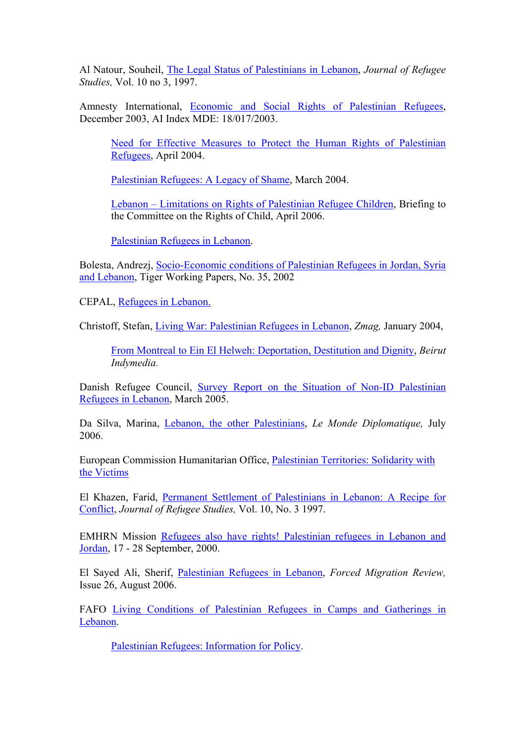Al Natour, Souheil, The Legal Status of Palestinians in Lebanon, *Journal of Refugee Studies,* Vol. 10 no 3, 1997.

Amnesty International, Economic and Social Rights of Palestinian Refugees, December 2003, AI Index MDE: 18/017/2003.

Need for Effective Measures to Protect the Human Rights of Palestinian Refugees, April 2004.

Palestinian Refugees: A Legacy of Shame, March 2004.

Lebanon – Limitations on Rights of Palestinian Refugee Children, Briefing to the Committee on the Rights of Child, April 2006.

Palestinian Refugees in Lebanon.

Bolesta, Andrezj, Socio-Economic conditions of Palestinian Refugees in Jordan, Syria and Lebanon, Tiger Working Papers, No. 35, 2002

CEPAL, Refugees in Lebanon.

Christoff, Stefan, Living War: Palestinian Refugees in Lebanon, *Zmag,* January 2004,

From Montreal to Ein El Helweh: Deportation, Destitution and Dignity, *Beirut Indymedia.*

Danish Refugee Council, Survey Report on the Situation of Non-ID Palestinian Refugees in Lebanon, March 2005.

Da Silva, Marina, Lebanon, the other Palestinians, *Le Monde Diplomatique,* July 2006.

European Commission Humanitarian Office, Palestinian Territories: Solidarity with the Victims

El Khazen, Farid, Permanent Settlement of Palestinians in Lebanon: A Recipe for Conflict, *Journal of Refugee Studies,* Vol. 10, No. 3 1997.

EMHRN Mission Refugees also have rights! Palestinian refugees in Lebanon and Jordan, 17 - 28 September, 2000.

El Sayed Ali, Sherif, Palestinian Refugees in Lebanon, *Forced Migration Review,*  Issue 26, August 2006.

FAFO Living Conditions of Palestinian Refugees in Camps and Gatherings in Lebanon.

Palestinian Refugees: Information for Policy.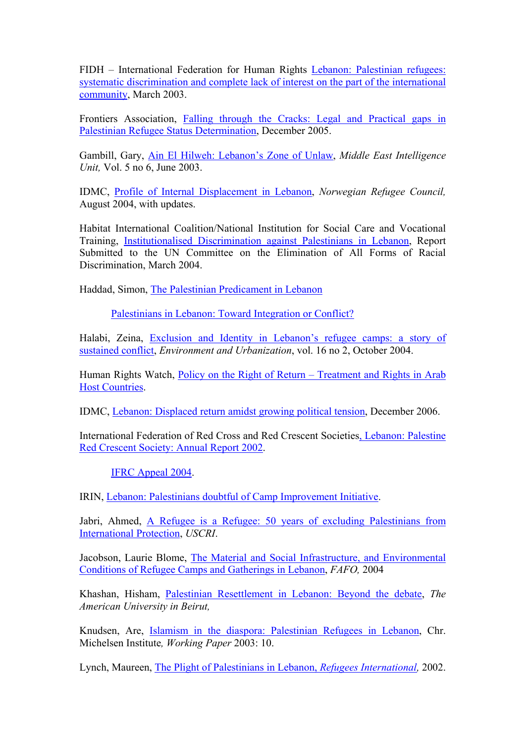FIDH – International Federation for Human Rights Lebanon: Palestinian refugees: systematic discrimination and complete lack of interest on the part of the international community, March 2003.

Frontiers Association, Falling through the Cracks: Legal and Practical gaps in Palestinian Refugee Status Determination, December 2005.

Gambill, Gary, Ain El Hilweh: Lebanon's Zone of Unlaw, *Middle East Intelligence Unit,* Vol. 5 no 6, June 2003.

IDMC, Profile of Internal Displacement in Lebanon, *Norwegian Refugee Council,*  August 2004, with updates.

Habitat International Coalition/National Institution for Social Care and Vocational Training, Institutionalised Discrimination against Palestinians in Lebanon, Report Submitted to the UN Committee on the Elimination of All Forms of Racial Discrimination, March 2004.

Haddad, Simon, The Palestinian Predicament in Lebanon

Palestinians in Lebanon: Toward Integration or Conflict?

Halabi, Zeina, Exclusion and Identity in Lebanon's refugee camps: a story of sustained conflict, *Environment and Urbanization*, vol. 16 no 2, October 2004.

Human Rights Watch, Policy on the Right of Return – Treatment and Rights in Arab Host Countries.

IDMC, Lebanon: Displaced return amidst growing political tension, December 2006.

International Federation of Red Cross and Red Crescent Societies, Lebanon: Palestine Red Crescent Society: Annual Report 2002.

IFRC Appeal 2004.

IRIN, Lebanon: Palestinians doubtful of Camp Improvement Initiative.

Jabri, Ahmed, A Refugee is a Refugee: 50 years of excluding Palestinians from International Protection, *USCRI*.

Jacobson, Laurie Blome, The Material and Social Infrastructure, and Environmental Conditions of Refugee Camps and Gatherings in Lebanon, *FAFO,* 2004

Khashan, Hisham, Palestinian Resettlement in Lebanon: Beyond the debate, *The American University in Beirut,* 

Knudsen, Are, Islamism in the diaspora: Palestinian Refugees in Lebanon, Chr. Michelsen Institute*, Working Paper* 2003: 10.

Lynch, Maureen, The Plight of Palestinians in Lebanon, *Refugees International,* 2002.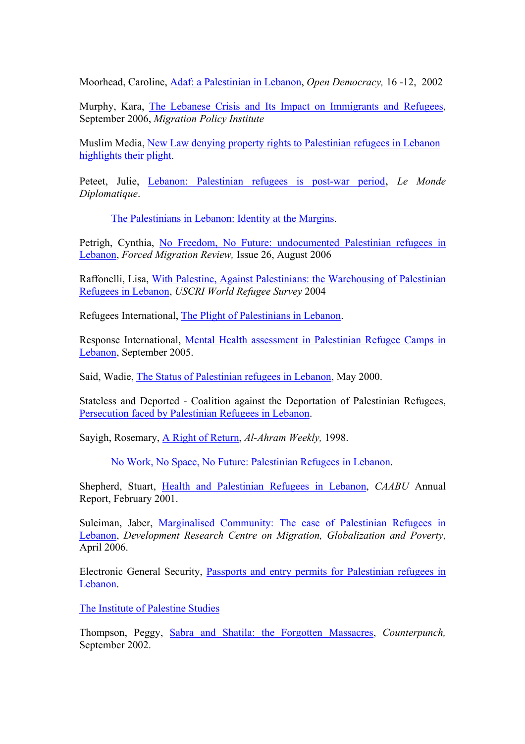Moorhead, Caroline, Adaf: a Palestinian in Lebanon, *Open Democracy,* 16 -12, 2002

Murphy, Kara, The Lebanese Crisis and Its Impact on Immigrants and Refugees, September 2006, *Migration Policy Institute*

Muslim Media, New Law denying property rights to Palestinian refugees in Lebanon highlights their plight.

Peteet, Julie, Lebanon: Palestinian refugees is post-war period, *Le Monde Diplomatique*.

The Palestinians in Lebanon: Identity at the Margins.

Petrigh, Cynthia, No Freedom, No Future: undocumented Palestinian refugees in Lebanon, *Forced Migration Review,* Issue 26, August 2006

Raffonelli, Lisa, With Palestine, Against Palestinians: the Warehousing of Palestinian Refugees in Lebanon, *USCRI World Refugee Survey* 2004

Refugees International, The Plight of Palestinians in Lebanon.

Response International, Mental Health assessment in Palestinian Refugee Camps in Lebanon, September 2005.

Said, Wadie, The Status of Palestinian refugees in Lebanon, May 2000.

Stateless and Deported - Coalition against the Deportation of Palestinian Refugees, Persecution faced by Palestinian Refugees in Lebanon.

Sayigh, Rosemary, A Right of Return, *Al-Ahram Weekly,* 1998.

No Work, No Space, No Future: Palestinian Refugees in Lebanon.

Shepherd, Stuart, Health and Palestinian Refugees in Lebanon, *CAABU* Annual Report, February 2001.

Suleiman, Jaber, Marginalised Community: The case of Palestinian Refugees in Lebanon, *Development Research Centre on Migration, Globalization and Poverty*, April 2006.

Electronic General Security, Passports and entry permits for Palestinian refugees in Lebanon.

The Institute of Palestine Studies

Thompson, Peggy, Sabra and Shatila: the Forgotten Massacres, *Counterpunch,*  September 2002.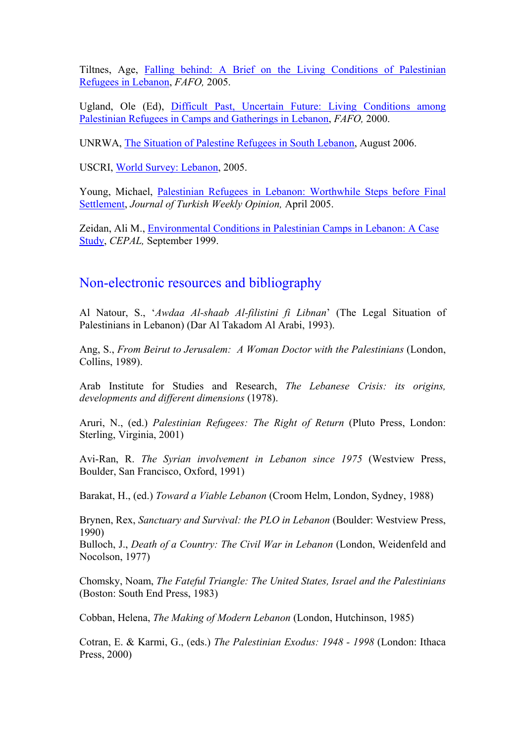Tiltnes, Age, Falling behind: A Brief on the Living Conditions of Palestinian Refugees in Lebanon, *FAFO,* 2005.

Ugland, Ole (Ed), Difficult Past, Uncertain Future: Living Conditions among Palestinian Refugees in Camps and Gatherings in Lebanon, *FAFO,* 2000.

UNRWA, The Situation of Palestine Refugees in South Lebanon, August 2006.

USCRI, World Survey: Lebanon, 2005.

Young, Michael, Palestinian Refugees in Lebanon: Worthwhile Steps before Final Settlement, *Journal of Turkish Weekly Opinion,* April 2005.

Zeidan, Ali M., Environmental Conditions in Palestinian Camps in Lebanon: A Case Study, *CEPAL,* September 1999.

# Non-electronic resources and bibliography

Al Natour, S., '*Awdaa Al-shaab Al-filistini fi Libnan*' (The Legal Situation of Palestinians in Lebanon) (Dar Al Takadom Al Arabi, 1993).

Ang, S., *From Beirut to Jerusalem: A Woman Doctor with the Palestinians* (London, Collins, 1989).

Arab Institute for Studies and Research, *The Lebanese Crisis: its origins, developments and different dimensions* (1978).

Aruri, N., (ed.) *Palestinian Refugees: The Right of Return* (Pluto Press, London: Sterling, Virginia, 2001)

Avi-Ran, R. *The Syrian involvement in Lebanon since 1975* (Westview Press, Boulder, San Francisco, Oxford, 1991)

Barakat, H., (ed.) *Toward a Viable Lebanon* (Croom Helm, London, Sydney, 1988)

Brynen, Rex, *Sanctuary and Survival: the PLO in Lebanon* (Boulder: Westview Press, 1990)

Bulloch, J., *Death of a Country: The Civil War in Lebanon* (London, Weidenfeld and Nocolson, 1977)

Chomsky, Noam, *The Fateful Triangle: The United States, Israel and the Palestinians*  (Boston: South End Press, 1983)

Cobban, Helena, *The Making of Modern Lebanon* (London, Hutchinson, 1985)

Cotran, E. & Karmi, G., (eds.) *The Palestinian Exodus: 1948 - 1998* (London: Ithaca Press, 2000)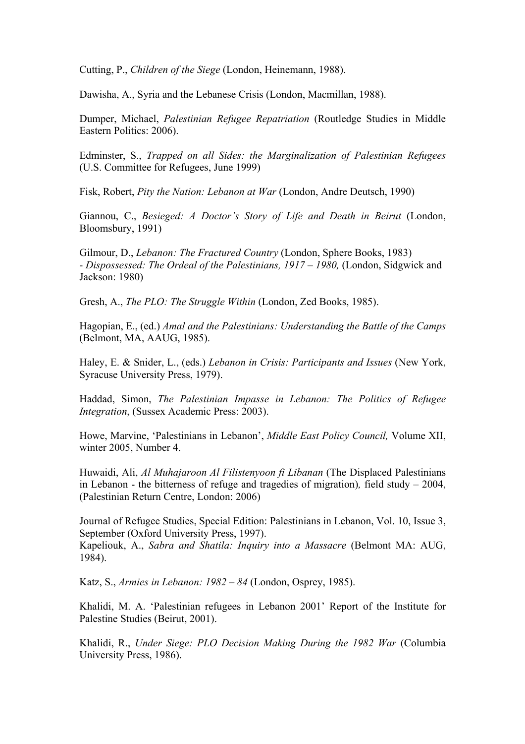Cutting, P., *Children of the Siege* (London, Heinemann, 1988).

Dawisha, A., Syria and the Lebanese Crisis (London, Macmillan, 1988).

Dumper, Michael, *Palestinian Refugee Repatriation* (Routledge Studies in Middle Eastern Politics: 2006).

Edminster, S., *Trapped on all Sides: the Marginalization of Palestinian Refugees* (U.S. Committee for Refugees, June 1999)

Fisk, Robert, *Pity the Nation: Lebanon at War* (London, Andre Deutsch, 1990)

Giannou, C., *Besieged: A Doctor's Story of Life and Death in Beirut* (London, Bloomsbury, 1991)

Gilmour, D., *Lebanon: The Fractured Country* (London, Sphere Books, 1983) - *Dispossessed: The Ordeal of the Palestinians, 1917 – 1980, (London, Sidgwick and* Jackson: 1980)

Gresh, A., *The PLO: The Struggle Within* (London, Zed Books, 1985).

Hagopian, E., (ed.) *Amal and the Palestinians: Understanding the Battle of the Camps*  (Belmont, MA, AAUG, 1985).

Haley, E. & Snider, L., (eds.) *Lebanon in Crisis: Participants and Issues* (New York, Syracuse University Press, 1979).

Haddad, Simon, *The Palestinian Impasse in Lebanon: The Politics of Refugee Integration*, (Sussex Academic Press: 2003).

Howe, Marvine, 'Palestinians in Lebanon', *Middle East Policy Council,* Volume XII, winter 2005, Number 4.

Huwaidi, Ali, *Al Muhajaroon Al Filistenyoon fi Libanan* (The Displaced Palestinians in Lebanon - the bitterness of refuge and tragedies of migration)*,* field study – 2004, (Palestinian Return Centre, London: 2006)

Journal of Refugee Studies, Special Edition: Palestinians in Lebanon, Vol. 10, Issue 3, September (Oxford University Press, 1997).

Kapeliouk, A., *Sabra and Shatila: Inquiry into a Massacre* (Belmont MA: AUG, 1984).

Katz, S., *Armies in Lebanon: 1982 – 84* (London, Osprey, 1985).

Khalidi, M. A. 'Palestinian refugees in Lebanon 2001' Report of the Institute for Palestine Studies (Beirut, 2001).

Khalidi, R., *Under Siege: PLO Decision Making During the 1982 War* (Columbia University Press, 1986).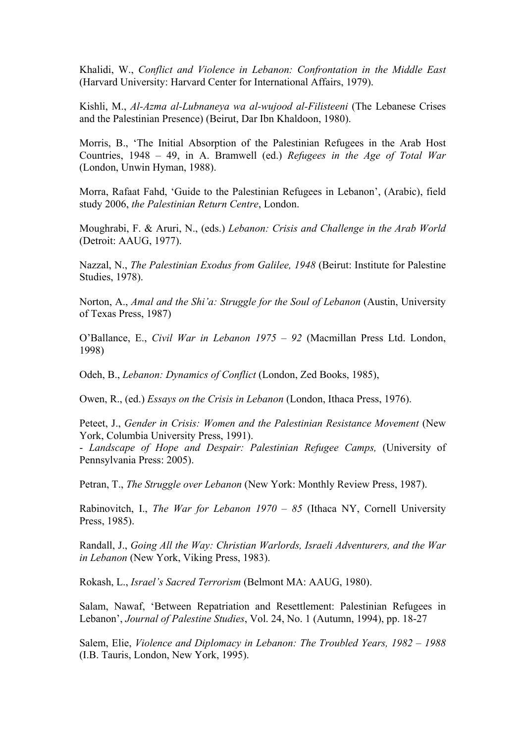Khalidi, W., *Conflict and Violence in Lebanon: Confrontation in the Middle East*  (Harvard University: Harvard Center for International Affairs, 1979).

Kishli, M., *Al-Azma al-Lubnaneya wa al-wujood al-Filisteeni* (The Lebanese Crises and the Palestinian Presence) (Beirut, Dar Ibn Khaldoon, 1980).

Morris, B., 'The Initial Absorption of the Palestinian Refugees in the Arab Host Countries, 1948 – 49, in A. Bramwell (ed.) *Refugees in the Age of Total War*  (London, Unwin Hyman, 1988).

Morra, Rafaat Fahd, 'Guide to the Palestinian Refugees in Lebanon', (Arabic), field study 2006, *the Palestinian Return Centre*, London.

Moughrabi, F. & Aruri, N., (eds.) *Lebanon: Crisis and Challenge in the Arab World*  (Detroit: AAUG, 1977).

Nazzal, N., *The Palestinian Exodus from Galilee, 1948* (Beirut: Institute for Palestine Studies, 1978).

Norton, A., *Amal and the Shi'a: Struggle for the Soul of Lebanon* (Austin, University of Texas Press, 1987)

O'Ballance, E., *Civil War in Lebanon 1975 – 92* (Macmillan Press Ltd. London, 1998)

Odeh, B., *Lebanon: Dynamics of Conflict* (London, Zed Books, 1985),

Owen, R., (ed.) *Essays on the Crisis in Lebanon* (London, Ithaca Press, 1976).

Peteet, J., *Gender in Crisis: Women and the Palestinian Resistance Movement* (New York, Columbia University Press, 1991).

- *Landscape of Hope and Despair: Palestinian Refugee Camps,* (University of Pennsylvania Press: 2005).

Petran, T., *The Struggle over Lebanon* (New York: Monthly Review Press, 1987).

Rabinovitch, I., *The War for Lebanon 1970 – 85* (Ithaca NY, Cornell University Press, 1985).

Randall, J., *Going All the Way: Christian Warlords, Israeli Adventurers, and the War in Lebanon* (New York, Viking Press, 1983).

Rokash, L., *Israel's Sacred Terrorism* (Belmont MA: AAUG, 1980).

Salam, Nawaf, 'Between Repatriation and Resettlement: Palestinian Refugees in Lebanon', *Journal of Palestine Studies*, Vol. 24, No. 1 (Autumn, 1994), pp. 18-27

Salem, Elie, *Violence and Diplomacy in Lebanon: The Troubled Years, 1982 – 1988*  (I.B. Tauris, London, New York, 1995).